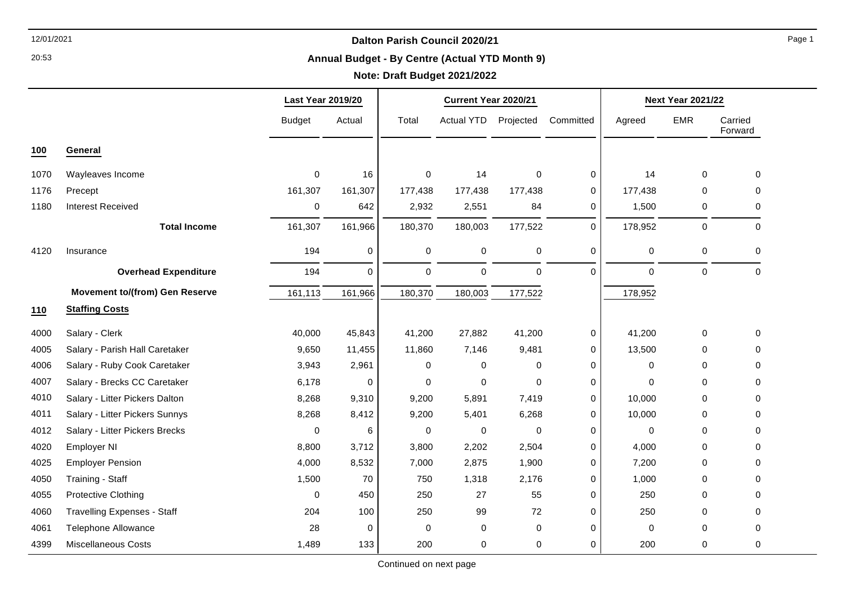20:53

#### **Annual Budget - By Centre (Actual YTD Month 9)**

# **Note: Draft Budget 2021/2022**

|      |                                       | <b>Last Year 2019/20</b> |          |             | Current Year 2020/21 |             |             | <b>Next Year 2021/22</b> |                  |                    |
|------|---------------------------------------|--------------------------|----------|-------------|----------------------|-------------|-------------|--------------------------|------------------|--------------------|
|      |                                       | <b>Budget</b>            | Actual   | Total       | Actual YTD           | Projected   | Committed   | Agreed                   | <b>EMR</b>       | Carried<br>Forward |
| 100  | General                               |                          |          |             |                      |             |             |                          |                  |                    |
| 1070 | Wayleaves Income                      | $\mathbf 0$              | 16       | $\mathbf 0$ | 14                   | $\mathbf 0$ | $\mathbf 0$ | 14                       | $\mathbf 0$      | $\Omega$           |
| 1176 | Precept                               | 161,307                  | 161,307  | 177,438     | 177,438              | 177,438     | $\mathbf 0$ | 177,438                  | $\Omega$         | $\Omega$           |
| 1180 | <b>Interest Received</b>              | $\pmb{0}$                | 642      | 2,932       | 2,551                | 84          | 0           | 1,500                    | 0                | $\Omega$           |
|      | <b>Total Income</b>                   | 161,307                  | 161,966  | 180,370     | 180,003              | 177,522     | $\mathbf 0$ | 178,952                  | $\boldsymbol{0}$ | $\mathbf 0$        |
| 4120 | Insurance                             | 194                      | 0        | $\mathbf 0$ | 0                    | $\pmb{0}$   | $\mathbf 0$ | $\pmb{0}$                | 0                | $\Omega$           |
|      | <b>Overhead Expenditure</b>           | 194                      | $\Omega$ | $\mathbf 0$ | $\mathbf 0$          | $\mathbf 0$ | $\Omega$    | $\mathbf 0$              | $\mathbf 0$      | $\Omega$           |
|      | <b>Movement to/(from) Gen Reserve</b> | 161,113                  | 161,966  | 180,370     | 180,003              | 177,522     |             | 178,952                  |                  |                    |
| 110  | <b>Staffing Costs</b>                 |                          |          |             |                      |             |             |                          |                  |                    |
| 4000 | Salary - Clerk                        | 40,000                   | 45,843   | 41,200      | 27,882               | 41,200      | 0           | 41,200                   | 0                | $\Omega$           |
| 4005 | Salary - Parish Hall Caretaker        | 9,650                    | 11,455   | 11,860      | 7,146                | 9,481       | 0           | 13,500                   | 0                | $\Omega$           |
| 4006 | Salary - Ruby Cook Caretaker          | 3,943                    | 2,961    | $\mathbf 0$ | 0                    | $\mathbf 0$ | 0           | $\mathbf 0$              | $\Omega$         | $\Omega$           |
| 4007 | Salary - Brecks CC Caretaker          | 6,178                    | 0        | $\Omega$    | $\Omega$             | $\mathbf 0$ | 0           | $\Omega$                 | $\Omega$         | $\Omega$           |
| 4010 | Salary - Litter Pickers Dalton        | 8,268                    | 9,310    | 9,200       | 5,891                | 7,419       | 0           | 10,000                   | $\Omega$         | $\Omega$           |
| 4011 | Salary - Litter Pickers Sunnys        | 8,268                    | 8,412    | 9,200       | 5,401                | 6,268       | 0           | 10,000                   | $\Omega$         | $\Omega$           |
| 4012 | Salary - Litter Pickers Brecks        | $\mathbf 0$              | 6        | $\mathbf 0$ | $\mathbf 0$          | $\mathbf 0$ | 0           | $\mathbf 0$              | $\Omega$         | $\Omega$           |
| 4020 | Employer NI                           | 8,800                    | 3,712    | 3,800       | 2,202                | 2,504       | 0           | 4,000                    | 0                | 0                  |
| 4025 | <b>Employer Pension</b>               | 4,000                    | 8,532    | 7,000       | 2,875                | 1,900       | 0           | 7,200                    | 0                | 0                  |
| 4050 | Training - Staff                      | 1,500                    | 70       | 750         | 1,318                | 2,176       | 0           | 1,000                    | 0                | 0                  |
| 4055 | Protective Clothing                   | $\Omega$                 | 450      | 250         | 27                   | 55          | 0           | 250                      | 0                | $\Omega$           |
| 4060 | <b>Travelling Expenses - Staff</b>    | 204                      | 100      | 250         | 99                   | 72          | $\mathbf 0$ | 250                      | $\mathbf 0$      | 0                  |
| 4061 | <b>Telephone Allowance</b>            | 28                       | 0        | 0           | 0                    | 0           | 0           | 0                        | 0                | $\Omega$           |
| 4399 | <b>Miscellaneous Costs</b>            | 1,489                    | 133      | 200         | 0                    | 0           | 0           | 200                      | 0                | $\Omega$           |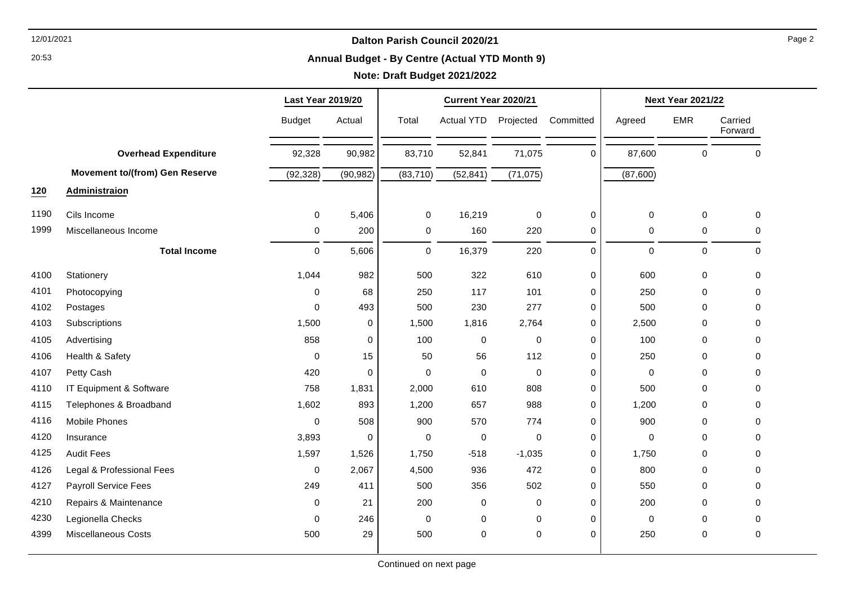20:53

#### **Annual Budget - By Centre (Actual YTD Month 9)**

# **Note: Draft Budget 2021/2022**

|      |                                       | <b>Last Year 2019/20</b> |           |             | Current Year 2020/21 |             |             | <b>Next Year 2021/22</b> |             |                    |
|------|---------------------------------------|--------------------------|-----------|-------------|----------------------|-------------|-------------|--------------------------|-------------|--------------------|
|      |                                       | <b>Budget</b>            | Actual    | Total       | <b>Actual YTD</b>    | Projected   | Committed   | Agreed                   | <b>EMR</b>  | Carried<br>Forward |
|      | <b>Overhead Expenditure</b>           | 92,328                   | 90,982    | 83,710      | 52,841               | 71,075      | 0           | 87,600                   | $\mathbf 0$ | $\pmb{0}$          |
|      | <b>Movement to/(from) Gen Reserve</b> | (92, 328)                | (90, 982) | (83, 710)   | (52, 841)            | (71, 075)   |             | (87,600)                 |             |                    |
| 120  | <b>Administraion</b>                  |                          |           |             |                      |             |             |                          |             |                    |
| 1190 | Cils Income                           | 0                        | 5,406     | 0           | 16,219               | 0           | 0           | 0                        | 0           | 0                  |
| 1999 | Miscellaneous Income                  | 0                        | 200       | $\pmb{0}$   | 160                  | 220         | 0           | $\mathbf 0$              | 0           | 0                  |
|      | <b>Total Income</b>                   | 0                        | 5,606     | $\mathsf 0$ | 16,379               | 220         | 0           | $\pmb{0}$                | $\pmb{0}$   | $\pmb{0}$          |
| 4100 | Stationery                            | 1,044                    | 982       | 500         | 322                  | 610         | 0           | 600                      | 0           | 0                  |
| 4101 | Photocopying                          | 0                        | 68        | 250         | 117                  | 101         | 0           | 250                      | $\Omega$    | 0                  |
| 4102 | Postages                              | $\Omega$                 | 493       | 500         | 230                  | 277         | 0           | 500                      | $\Omega$    | 0                  |
| 4103 | Subscriptions                         | 1,500                    | 0         | 1,500       | 1,816                | 2,764       | 0           | 2,500                    | $\Omega$    | $\mathbf 0$        |
| 4105 | Advertising                           | 858                      | 0         | 100         | 0                    | $\Omega$    | 0           | 100                      | $\Omega$    | 0                  |
| 4106 | Health & Safety                       | 0                        | 15        | 50          | 56                   | 112         | 0           | 250                      | $\Omega$    | 0                  |
| 4107 | Petty Cash                            | 420                      | 0         | 0           | $\mathbf 0$          | $\mathbf 0$ | 0           | $\mathbf 0$              | $\Omega$    | $\mathbf 0$        |
| 4110 | IT Equipment & Software               | 758                      | 1,831     | 2,000       | 610                  | 808         | 0           | 500                      | $\Omega$    | 0                  |
| 4115 | Telephones & Broadband                | 1,602                    | 893       | 1,200       | 657                  | 988         | 0           | 1,200                    | $\Omega$    | $\mathbf 0$        |
| 4116 | <b>Mobile Phones</b>                  | 0                        | 508       | 900         | 570                  | 774         | 0           | 900                      | $\Omega$    | $\mathbf 0$        |
| 4120 | Insurance                             | 3,893                    | 0         | $\mathbf 0$ | 0                    | $\Omega$    | 0           | $\mathbf 0$              | $\Omega$    | 0                  |
| 4125 | <b>Audit Fees</b>                     | 1,597                    | 1,526     | 1,750       | $-518$               | $-1,035$    | $\mathbf 0$ | 1,750                    | $\Omega$    | 0                  |
| 4126 | Legal & Professional Fees             | 0                        | 2,067     | 4,500       | 936                  | 472         | 0           | 800                      | $\Omega$    | $\mathbf 0$        |
| 4127 | Payroll Service Fees                  | 249                      | 411       | 500         | 356                  | 502         | 0           | 550                      | $\Omega$    | 0                  |
| 4210 | Repairs & Maintenance                 | 0                        | 21        | 200         | 0                    | $\mathbf 0$ | 0           | 200                      | 0           | 0                  |
| 4230 | Legionella Checks                     | 0                        | 246       | 0           | 0                    | $\mathbf 0$ | 0           | $\mathbf 0$              | $\Omega$    | 0                  |
| 4399 | <b>Miscellaneous Costs</b>            | 500                      | 29        | 500         | 0                    | $\mathbf 0$ | 0           | 250                      | 0           | 0                  |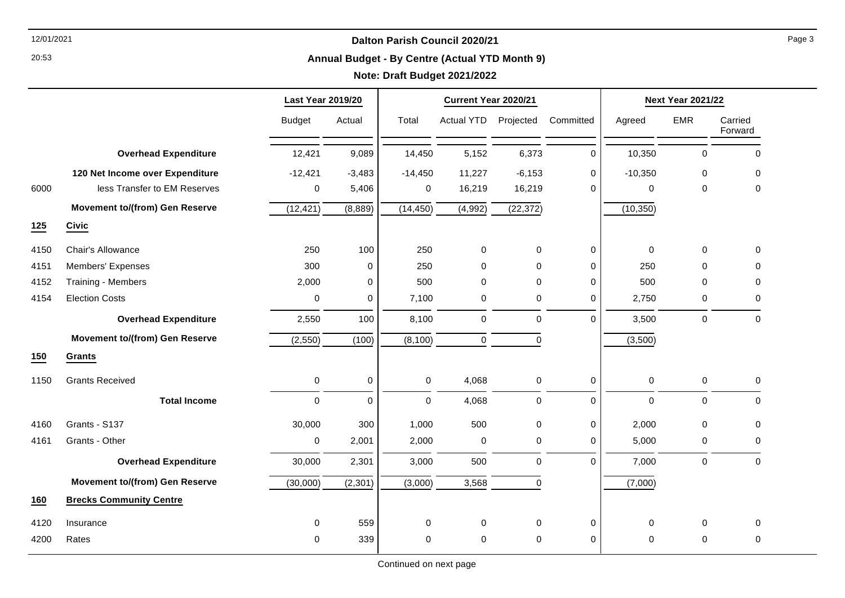20:53

#### **Annual Budget - By Centre (Actual YTD Month 9)**

|      |                                       | <b>Last Year 2019/20</b> |             |             | Current Year 2020/21 |             |             | <b>Next Year 2021/22</b> |                     |                    |
|------|---------------------------------------|--------------------------|-------------|-------------|----------------------|-------------|-------------|--------------------------|---------------------|--------------------|
|      |                                       | <b>Budget</b>            | Actual      | Total       | Actual YTD           | Projected   | Committed   | Agreed                   | <b>EMR</b>          | Carried<br>Forward |
|      | <b>Overhead Expenditure</b>           | 12,421                   | 9,089       | 14,450      | 5,152                | 6,373       | $\mathbf 0$ | 10,350                   | $\pmb{0}$           | $\mathbf 0$        |
|      | 120 Net Income over Expenditure       | $-12,421$                | $-3,483$    | $-14,450$   | 11,227               | $-6,153$    | $\Omega$    | $-10,350$                | 0                   | 0                  |
| 6000 | less Transfer to EM Reserves          | 0                        | 5,406       | 0           | 16,219               | 16,219      | $\Omega$    | 0                        | 0                   | 0                  |
|      | <b>Movement to/(from) Gen Reserve</b> | (12, 421)                | (8,889)     | (14, 450)   | (4,992)              | (22, 372)   |             | (10, 350)                |                     |                    |
| 125  | <b>Civic</b>                          |                          |             |             |                      |             |             |                          |                     |                    |
| 4150 | Chair's Allowance                     | 250                      | 100         | 250         | 0                    | 0           | 0           | 0                        | 0                   | 0                  |
| 4151 | Members' Expenses                     | 300                      | $\mathbf 0$ | 250         | 0                    | $\mathbf 0$ | $\mathbf 0$ | 250                      | $\mathbf 0$         | $\Omega$           |
| 4152 | Training - Members                    | 2,000                    | 0           | 500         | 0                    | 0           | $\mathbf 0$ | 500                      | 0                   | $\mathbf 0$        |
| 4154 | <b>Election Costs</b>                 | $\mathbf 0$              | $\Omega$    | 7,100       | $\mathbf 0$          | 0           | 0           | 2,750                    | 0                   | $\Omega$           |
|      | <b>Overhead Expenditure</b>           | 2,550                    | 100         | 8,100       | $\pmb{0}$            | $\mathbf 0$ | 0           | 3,500                    | $\mathsf{O}\xspace$ | $\mathbf 0$        |
|      | <b>Movement to/(from) Gen Reserve</b> | (2, 550)                 | (100)       | (8, 100)    | 0                    | $\mathbf 0$ |             | (3,500)                  |                     |                    |
| 150  | <b>Grants</b>                         |                          |             |             |                      |             |             |                          |                     |                    |
| 1150 | <b>Grants Received</b>                | $\mathbf 0$              | $\mathbf 0$ | $\mathbf 0$ | 4,068                | $\mathbf 0$ | 0           | $\mathsf 0$              | $\mathsf{O}\xspace$ | $\mathbf 0$        |
|      | <b>Total Income</b>                   | $\mathbf 0$              | $\mathbf 0$ | $\mathbf 0$ | 4,068                | 0           | 0           | 0                        | $\mathbf 0$         | $\mathbf 0$        |
| 4160 | Grants - S137                         | 30,000                   | 300         | 1,000       | 500                  | 0           | 0           | 2,000                    | 0                   | 0                  |
| 4161 | Grants - Other                        | $\pmb{0}$                | 2,001       | 2,000       | 0                    | 0           | 0           | 5,000                    | 0                   | 0                  |
|      | <b>Overhead Expenditure</b>           | 30,000                   | 2,301       | 3,000       | 500                  | $\mathbf 0$ | $\Omega$    | 7,000                    | 0                   | $\mathbf 0$        |
|      | <b>Movement to/(from) Gen Reserve</b> | (30,000)                 | (2, 301)    | (3,000)     | 3,568                | $\mathbf 0$ |             | (7,000)                  |                     |                    |
| 160  | <b>Brecks Community Centre</b>        |                          |             |             |                      |             |             |                          |                     |                    |
| 4120 | Insurance                             | 0                        | 559         | 0           | 0                    | $\mathbf 0$ | 0           | 0                        | 0                   | 0                  |
| 4200 | Rates                                 | $\mathbf 0$              | 339         | $\mathbf 0$ | $\mathbf 0$          | $\mathbf 0$ | 0           | $\Omega$                 | 0                   | $\mathbf 0$        |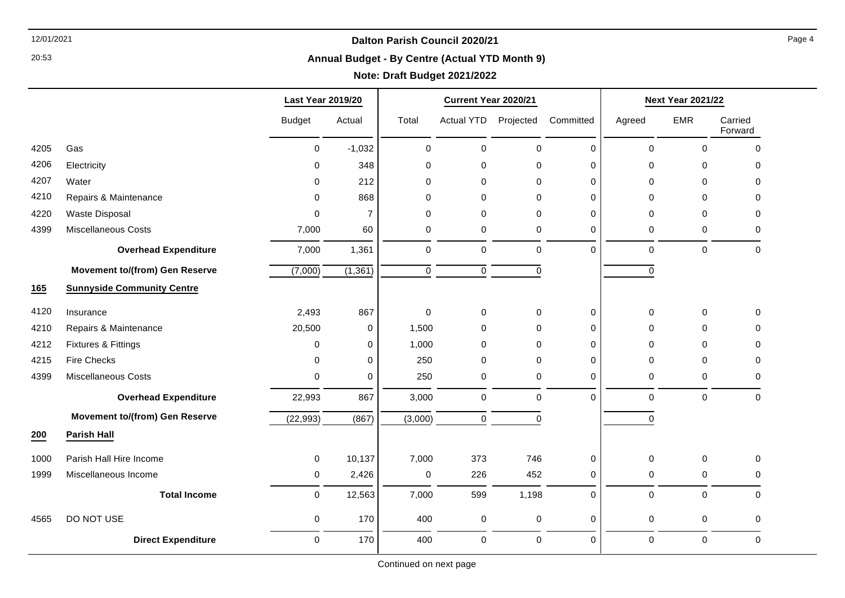20:53

#### **Annual Budget - By Centre (Actual YTD Month 9)**

# **Note: Draft Budget 2021/2022**

|      |                                       | <b>Last Year 2019/20</b> |                |             | Current Year 2020/21 |             |             | <b>Next Year 2021/22</b> |             |                    |
|------|---------------------------------------|--------------------------|----------------|-------------|----------------------|-------------|-------------|--------------------------|-------------|--------------------|
|      |                                       | <b>Budget</b>            | Actual         | Total       | Actual YTD           | Projected   | Committed   | Agreed                   | <b>EMR</b>  | Carried<br>Forward |
| 4205 | Gas                                   | $\mathsf 0$              | $-1,032$       | $\pmb{0}$   | $\pmb{0}$            | $\mathsf 0$ | $\mathbf 0$ | $\pmb{0}$                | 0           | $\mathbf 0$        |
| 4206 | Electricity                           | $\mathbf 0$              | 348            | $\mathbf 0$ | $\pmb{0}$            | $\mathbf 0$ | $\mathbf 0$ | $\mathbf 0$              | 0           | $\mathbf 0$        |
| 4207 | Water                                 | $\Omega$                 | 212            | $\Omega$    | 0                    | $\Omega$    | 0           | 0                        | $\Omega$    | $\Omega$           |
| 4210 | Repairs & Maintenance                 | 0                        | 868            | 0           | 0                    | $\mathbf 0$ | $\Omega$    | 0                        | $\Omega$    | 0                  |
| 4220 | <b>Waste Disposal</b>                 | $\Omega$                 | $\overline{7}$ | $\mathbf 0$ | $\pmb{0}$            | $\Omega$    | $\mathbf 0$ | 0                        | $\Omega$    | $\mathbf 0$        |
| 4399 | <b>Miscellaneous Costs</b>            | 7,000                    | 60             | $\mathbf 0$ | $\pmb{0}$            | $\mathbf 0$ | $\mathbf 0$ | 0                        | 0           | $\mathbf 0$        |
|      | <b>Overhead Expenditure</b>           | 7,000                    | 1,361          | $\pmb{0}$   | $\pmb{0}$            | $\mathsf 0$ | $\mathbf 0$ | $\pmb{0}$                | $\pmb{0}$   | $\boldsymbol{0}$   |
|      | <b>Movement to/(from) Gen Reserve</b> | (7,000)                  | (1, 361)       | $\mathbf 0$ | $\pmb{0}$            | $\mathbf 0$ |             | 0                        |             |                    |
| 165  | <b>Sunnyside Community Centre</b>     |                          |                |             |                      |             |             |                          |             |                    |
| 4120 | Insurance                             | 2,493                    | 867            | $\mathbf 0$ | $\pmb{0}$            | $\mathbf 0$ | $\mathbf 0$ | $\mathbf 0$              | 0           | $\mathbf 0$        |
| 4210 | Repairs & Maintenance                 | 20,500                   | $\mathbf 0$    | 1,500       | $\mathbf 0$          | $\Omega$    | $\Omega$    | 0                        | $\Omega$    | $\Omega$           |
| 4212 | Fixtures & Fittings                   | $\mathbf 0$              | $\mathbf 0$    | 1,000       | 0                    | $\mathbf 0$ | $\Omega$    | $\Omega$                 | $\Omega$    | $\Omega$           |
| 4215 | <b>Fire Checks</b>                    | 0                        | $\mathbf 0$    | 250         | 0                    | $\Omega$    | $\mathbf 0$ | 0                        | $\Omega$    | $\Omega$           |
| 4399 | <b>Miscellaneous Costs</b>            | $\Omega$                 | 0              | 250         | 0                    | $\mathbf 0$ | 0           | 0                        | 0           | $\Omega$           |
|      | <b>Overhead Expenditure</b>           | 22,993                   | 867            | 3,000       | $\pmb{0}$            | $\mathbf 0$ | $\Omega$    | 0                        | $\mathbf 0$ | $\mathbf 0$        |
|      | <b>Movement to/(from) Gen Reserve</b> | (22, 993)                | (867)          | (3,000)     | 0                    | $\mathbf 0$ |             | 0                        |             |                    |
| 200  | <b>Parish Hall</b>                    |                          |                |             |                      |             |             |                          |             |                    |
| 1000 | Parish Hall Hire Income               | $\mathbf 0$              | 10,137         | 7,000       | 373                  | 746         | $\mathbf 0$ | $\pmb{0}$                | 0           | $\mathbf 0$        |
| 1999 | Miscellaneous Income                  | 0                        | 2,426          | $\mathbf 0$ | 226                  | 452         | $\mathbf 0$ | 0                        | 0           | $\mathbf 0$        |
|      | <b>Total Income</b>                   | $\mathsf 0$              | 12,563         | 7,000       | 599                  | 1,198       | 0           | $\pmb{0}$                | 0           | $\mathbf 0$        |
| 4565 | DO NOT USE                            | $\pmb{0}$                | 170            | 400         | 0                    | $\pmb{0}$   | $\mathbf 0$ | $\mathbf 0$              | 0           | $\mathbf 0$        |
|      | <b>Direct Expenditure</b>             | $\mathbf 0$              | 170            | 400         | 0                    | $\mathsf 0$ | $\Omega$    | 0                        | 0           | $\mathbf 0$        |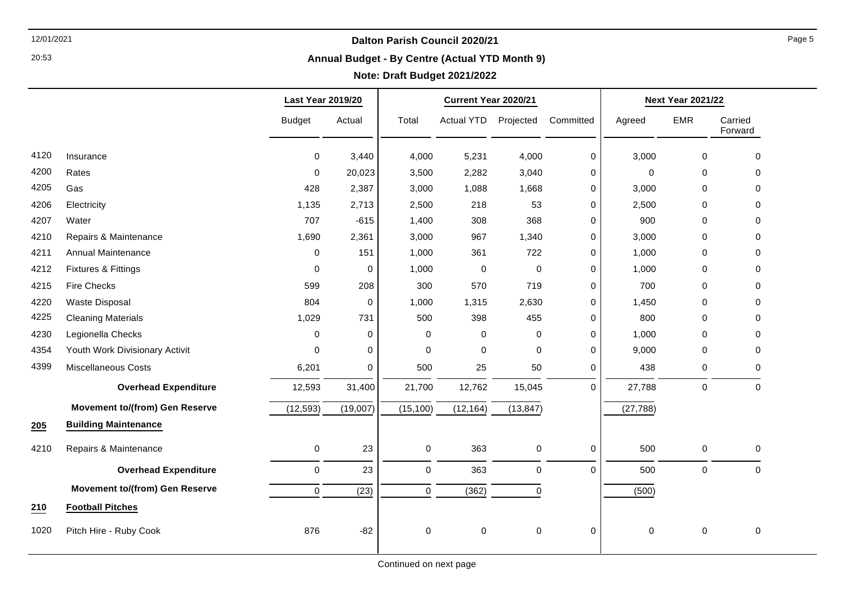20:53

#### **Annual Budget - By Centre (Actual YTD Month 9)**

|      |                                       | <b>Last Year 2019/20</b> |             |                  | Current Year 2020/21 |             |             |             | <b>Next Year 2021/22</b> |                    |  |
|------|---------------------------------------|--------------------------|-------------|------------------|----------------------|-------------|-------------|-------------|--------------------------|--------------------|--|
|      |                                       | <b>Budget</b>            | Actual      | Total            | Actual YTD           | Projected   | Committed   | Agreed      | <b>EMR</b>               | Carried<br>Forward |  |
| 4120 | Insurance                             | $\mathbf 0$              | 3,440       | 4,000            | 5,231                | 4,000       | 0           | 3,000       | 0                        | $\mathbf 0$        |  |
| 4200 | Rates                                 | 0                        | 20,023      | 3,500            | 2,282                | 3,040       | 0           | $\mathbf 0$ | 0                        | 0                  |  |
| 4205 | Gas                                   | 428                      | 2,387       | 3,000            | 1,088                | 1,668       | 0           | 3,000       | 0                        | 0                  |  |
| 4206 | Electricity                           | 1,135                    | 2,713       | 2,500            | 218                  | 53          | 0           | 2,500       | 0                        | 0                  |  |
| 4207 | Water                                 | 707                      | $-615$      | 1,400            | 308                  | 368         | 0           | 900         | $\mathbf 0$              | 0                  |  |
| 4210 | Repairs & Maintenance                 | 1,690                    | 2,361       | 3,000            | 967                  | 1,340       | 0           | 3,000       | $\mathbf 0$              | $\Omega$           |  |
| 4211 | Annual Maintenance                    | 0                        | 151         | 1,000            | 361                  | 722         | 0           | 1,000       | 0                        | 0                  |  |
| 4212 | <b>Fixtures &amp; Fittings</b>        | 0                        | 0           | 1,000            | 0                    | $\mathbf 0$ | 0           | 1,000       | 0                        | 0                  |  |
| 4215 | <b>Fire Checks</b>                    | 599                      | 208         | 300              | 570                  | 719         | 0           | 700         | 0                        | 0                  |  |
| 4220 | Waste Disposal                        | 804                      | 0           | 1,000            | 1,315                | 2,630       | 0           | 1,450       | $\mathbf 0$              | 0                  |  |
| 4225 | <b>Cleaning Materials</b>             | 1,029                    | 731         | 500              | 398                  | 455         | 0           | 800         | 0                        | 0                  |  |
| 4230 | Legionella Checks                     | $\Omega$                 | $\mathbf 0$ | $\Omega$         | 0                    | $\mathbf 0$ | $\mathbf 0$ | 1,000       | $\mathbf 0$              | 0                  |  |
| 4354 | Youth Work Divisionary Activit        | 0                        | $\mathbf 0$ | 0                | 0                    | $\mathbf 0$ | 0           | 9,000       | 0                        | 0                  |  |
| 4399 | <b>Miscellaneous Costs</b>            | 6,201                    | $\mathbf 0$ | 500              | 25                   | 50          | 0           | 438         | 0                        | $\mathbf 0$        |  |
|      | <b>Overhead Expenditure</b>           | 12,593                   | 31,400      | 21,700           | 12,762               | 15,045      | $\mathbf 0$ | 27,788      | $\pmb{0}$                | $\mathbf 0$        |  |
|      | <b>Movement to/(from) Gen Reserve</b> | (12, 593)                | (19,007)    | (15, 100)        | (12, 164)            | (13, 847)   |             | (27, 788)   |                          |                    |  |
| 205  | <b>Building Maintenance</b>           |                          |             |                  |                      |             |             |             |                          |                    |  |
| 4210 | Repairs & Maintenance                 | 0                        | 23          | $\mathbf 0$      | 363                  | 0           | 0           | 500         | 0                        | $\mathbf 0$        |  |
|      | <b>Overhead Expenditure</b>           | 0                        | 23          | $\pmb{0}$        | 363                  | $\pmb{0}$   | $\mathbf 0$ | 500         | $\mathsf{O}\xspace$      | $\mathbf 0$        |  |
|      | <b>Movement to/(from) Gen Reserve</b> | 0                        | (23)        | $\pmb{0}$        | (362)                | 0           |             | (500)       |                          |                    |  |
| 210  | <b>Football Pitches</b>               |                          |             |                  |                      |             |             |             |                          |                    |  |
| 1020 | Pitch Hire - Ruby Cook                | 876                      | $-82$       | $\boldsymbol{0}$ | 0                    | 0           | $\mathbf 0$ | $\pmb{0}$   | $\pmb{0}$                | $\pmb{0}$          |  |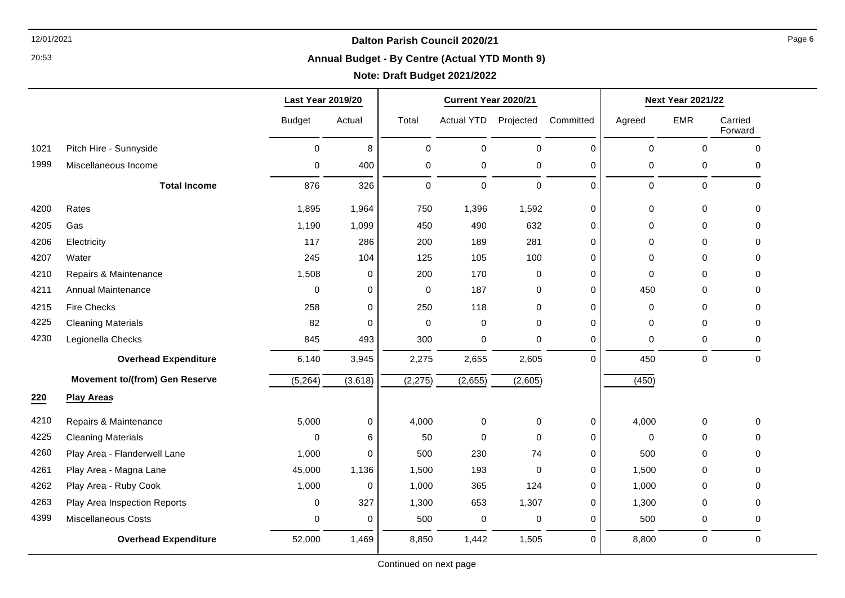20:53

#### **Annual Budget - By Centre (Actual YTD Month 9)**

|      |                                       | <b>Last Year 2019/20</b> |             | Current Year 2020/21 |                   |             | <b>Next Year 2021/22</b> |             |                     |                    |
|------|---------------------------------------|--------------------------|-------------|----------------------|-------------------|-------------|--------------------------|-------------|---------------------|--------------------|
|      |                                       | <b>Budget</b>            | Actual      | Total                | <b>Actual YTD</b> | Projected   | Committed                | Agreed      | <b>EMR</b>          | Carried<br>Forward |
| 1021 | Pitch Hire - Sunnyside                | $\Omega$                 | 8           | $\Omega$             | $\mathbf 0$       | $\Omega$    | $\Omega$                 | $\mathbf 0$ | $\Omega$            | $\Omega$           |
| 1999 | Miscellaneous Income                  | 0                        | 400         | 0                    | $\pmb{0}$         | $\mathbf 0$ | $\mathbf 0$              | 0           | $\pmb{0}$           | 0                  |
|      | <b>Total Income</b>                   | 876                      | 326         | 0                    | $\mathbf 0$       | $\mathbf 0$ | $\Omega$                 | $\mathbf 0$ | $\mathsf{O}\xspace$ | $\Omega$           |
| 4200 | Rates                                 | 1,895                    | 1,964       | 750                  | 1,396             | 1,592       | $\mathbf 0$              | $\mathbf 0$ | $\mathbf 0$         | 0                  |
| 4205 | Gas                                   | 1,190                    | 1,099       | 450                  | 490               | 632         | $\mathbf 0$              | $\Omega$    | $\Omega$            | $\Omega$           |
| 4206 | Electricity                           | 117                      | 286         | 200                  | 189               | 281         | 0                        | $\Omega$    | $\Omega$            | $\Omega$           |
| 4207 | Water                                 | 245                      | 104         | 125                  | 105               | 100         | 0                        | 0           | 0                   | 0                  |
| 4210 | Repairs & Maintenance                 | 1,508                    | $\mathbf 0$ | 200                  | 170               | 0           | 0                        | 0           | $\Omega$            | 0                  |
| 4211 | Annual Maintenance                    | 0                        | 0           | 0                    | 187               | 0           | $\mathbf 0$              | 450         | $\Omega$            | $\Omega$           |
| 4215 | <b>Fire Checks</b>                    | 258                      | 0           | 250                  | 118               | $\mathbf 0$ | 0                        | 0           | $\mathbf 0$         | $\Omega$           |
| 4225 | <b>Cleaning Materials</b>             | 82                       | $\Omega$    | $\mathbf 0$          | $\pmb{0}$         | $\Omega$    | 0                        | 0           | 0                   | 0                  |
| 4230 | Legionella Checks                     | 845                      | 493         | 300                  | $\pmb{0}$         | 0           | $\mathbf 0$              | 0           | $\mathbf 0$         | $\Omega$           |
|      | <b>Overhead Expenditure</b>           | 6,140                    | 3,945       | 2,275                | 2,655             | 2,605       | $\Omega$                 | 450         | $\mathbf 0$         | $\Omega$           |
|      | <b>Movement to/(from) Gen Reserve</b> | (5, 264)                 | (3,618)     | (2, 275)             | (2,655)           | (2,605)     |                          | (450)       |                     |                    |
| 220  | <b>Play Areas</b>                     |                          |             |                      |                   |             |                          |             |                     |                    |
| 4210 | Repairs & Maintenance                 | 5,000                    | $\mathbf 0$ | 4,000                | $\mathbf 0$       | 0           | $\mathbf 0$              | 4,000       | 0                   | $\Omega$           |
| 4225 | <b>Cleaning Materials</b>             | 0                        | 6           | 50                   | $\mathbf 0$       | $\mathbf 0$ | $\mathbf 0$              | 0           | 0                   | 0                  |
| 4260 | Play Area - Flanderwell Lane          | 1,000                    | $\Omega$    | 500                  | 230               | 74          | 0                        | 500         | $\Omega$            | $\Omega$           |
| 4261 | Play Area - Magna Lane                | 45,000                   | 1,136       | 1,500                | 193               | $\Omega$    | $\Omega$                 | 1,500       | $\Omega$            | 0                  |
| 4262 | Play Area - Ruby Cook                 | 1,000                    | 0           | 1,000                | 365               | 124         | 0                        | 1,000       | 0                   | $\Omega$           |
| 4263 | Play Area Inspection Reports          | 0                        | 327         | 1,300                | 653               | 1,307       | 0                        | 1,300       | $\mathbf 0$         | $\Omega$           |
| 4399 | <b>Miscellaneous Costs</b>            | 0                        | $\Omega$    | 500                  | $\pmb{0}$         | $\mathbf 0$ | $\Omega$                 | 500         | $\mathbf 0$         | 0                  |
|      | <b>Overhead Expenditure</b>           | 52,000                   | 1,469       | 8,850                | 1,442             | 1,505       | $\Omega$                 | 8,800       | $\pmb{0}$           | $\Omega$           |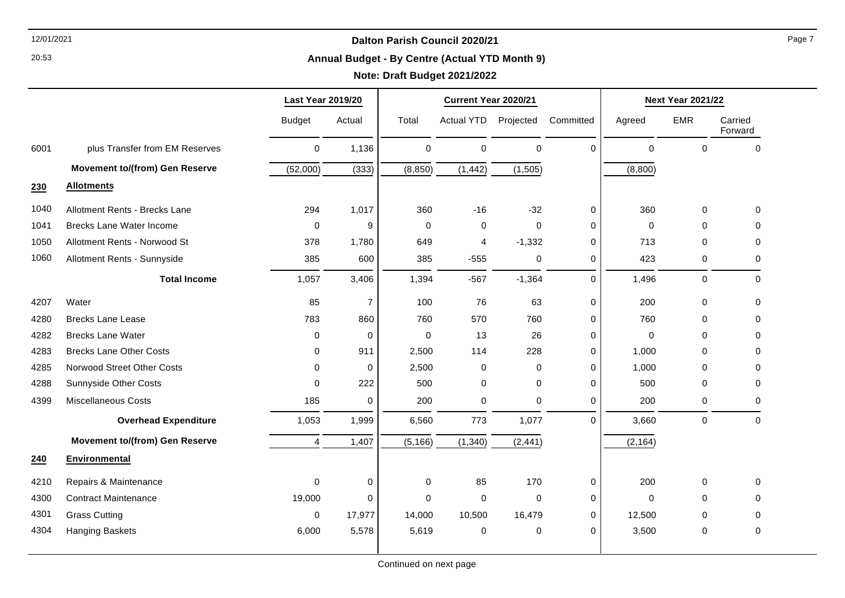20:53

#### **Annual Budget - By Centre (Actual YTD Month 9)**

# **Note: Draft Budget 2021/2022**

|      |                                       | <b>Last Year 2019/20</b> |                | Current Year 2020/21 |                   |             |             | <b>Next Year 2021/22</b> |             |                    |
|------|---------------------------------------|--------------------------|----------------|----------------------|-------------------|-------------|-------------|--------------------------|-------------|--------------------|
|      |                                       | <b>Budget</b>            | Actual         | Total                | <b>Actual YTD</b> | Projected   | Committed   | Agreed                   | <b>EMR</b>  | Carried<br>Forward |
| 6001 | plus Transfer from EM Reserves        | $\mathbf 0$              | 1,136          | $\mathbf 0$          | $\mathbf 0$       | $\mathsf 0$ | $\Omega$    | $\mathbf 0$              | $\mathbf 0$ | $\mathbf 0$        |
|      | <b>Movement to/(from) Gen Reserve</b> | (52,000)                 | (333)          | (8, 850)             | (1, 442)          | (1,505)     |             | (8,800)                  |             |                    |
| 230  | <b>Allotments</b>                     |                          |                |                      |                   |             |             |                          |             |                    |
| 1040 | Allotment Rents - Brecks Lane         | 294                      | 1,017          | 360                  | $-16$             | $-32$       | $\mathbf 0$ | 360                      | $\mathbf 0$ | $\mathbf 0$        |
| 1041 | <b>Brecks Lane Water Income</b>       | $\mathbf 0$              | 9              | $\Omega$             | 0                 | $\Omega$    | 0           | 0                        | $\Omega$    | $\Omega$           |
| 1050 | Allotment Rents - Norwood St          | 378                      | 1,780          | 649                  | 4                 | $-1,332$    | 0           | 713                      | $\Omega$    | $\Omega$           |
| 1060 | Allotment Rents - Sunnyside           | 385                      | 600            | 385                  | $-555$            | 0           | $\mathbf 0$ | 423                      | 0           | 0                  |
|      | <b>Total Income</b>                   | 1,057                    | 3,406          | 1,394                | $-567$            | $-1,364$    | $\Omega$    | 1,496                    | $\mathbf 0$ | $\mathbf{0}$       |
| 4207 | Water                                 | 85                       | $\overline{7}$ | 100                  | 76                | 63          | 0           | 200                      | $\mathbf 0$ | $\mathbf 0$        |
| 4280 | <b>Brecks Lane Lease</b>              | 783                      | 860            | 760                  | 570               | 760         | 0           | 760                      | $\Omega$    | 0                  |
| 4282 | <b>Brecks Lane Water</b>              | 0                        | 0              | $\Omega$             | 13                | 26          | 0           | $\mathbf 0$              | $\Omega$    | $\Omega$           |
| 4283 | <b>Brecks Lane Other Costs</b>        | 0                        | 911            | 2,500                | 114               | 228         | 0           | 1,000                    | $\Omega$    | 0                  |
| 4285 | Norwood Street Other Costs            | $\Omega$                 | 0              | 2,500                | 0                 | 0           | 0           | 1,000                    | $\Omega$    | 0                  |
| 4288 | Sunnyside Other Costs                 | $\Omega$                 | 222            | 500                  | 0                 | 0           | $\Omega$    | 500                      | 0           | $\mathbf{0}$       |
| 4399 | <b>Miscellaneous Costs</b>            | 185                      | 0              | 200                  | 0                 | 0           | $\mathbf 0$ | 200                      | 0           | 0                  |
|      | <b>Overhead Expenditure</b>           | 1,053                    | 1,999          | 6,560                | 773               | 1,077       | $\Omega$    | 3,660                    | $\mathbf 0$ | $\mathbf{0}$       |
|      | <b>Movement to/(from) Gen Reserve</b> | $\overline{4}$           | 1,407          | (5, 166)             | (1, 340)          | (2, 441)    |             | (2, 164)                 |             |                    |
| 240  | Environmental                         |                          |                |                      |                   |             |             |                          |             |                    |
| 4210 | Repairs & Maintenance                 | $\mathbf 0$              | 0              | $\mathbf 0$          | 85                | 170         | $\mathbf 0$ | 200                      | 0           | $\mathbf{0}$       |
| 4300 | <b>Contract Maintenance</b>           | 19,000                   | $\mathbf 0$    | $\Omega$             | 0                 | $\Omega$    | $\mathbf 0$ | $\mathbf 0$              | $\Omega$    | $\mathbf{0}$       |
| 4301 | <b>Grass Cutting</b>                  | $\mathbf 0$              | 17,977         | 14,000               | 10,500            | 16,479      | 0           | 12,500                   | 0           | $\mathbf{0}$       |
| 4304 | Hanging Baskets                       | 6,000                    | 5,578          | 5,619                | 0                 | 0           | $\Omega$    | 3,500                    | 0           | $\mathbf 0$        |
|      |                                       |                          |                |                      |                   |             |             |                          |             |                    |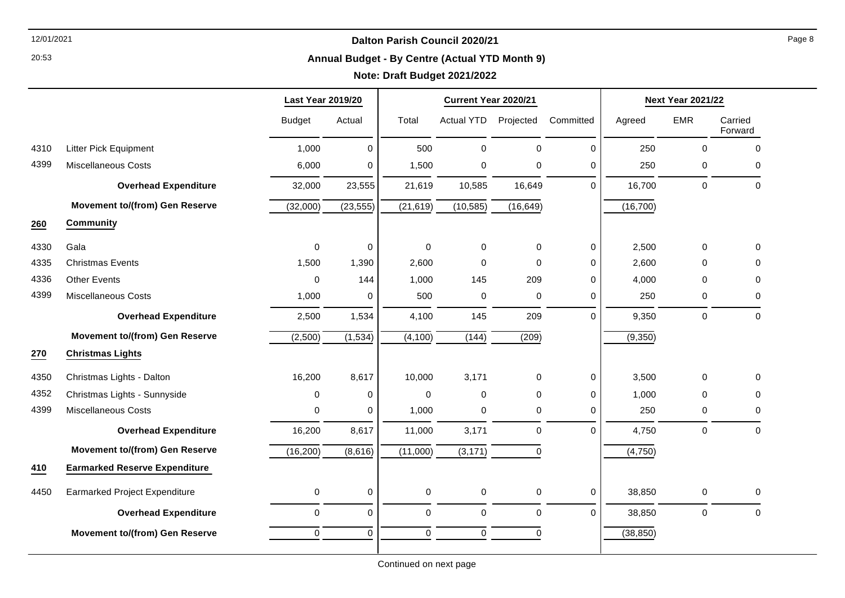20:53

#### **Annual Budget - By Centre (Actual YTD Month 9)**

|      |                                       | <b>Last Year 2019/20</b> |             |           | Current Year 2020/21 |             |             | <b>Next Year 2021/22</b> |                     |                     |
|------|---------------------------------------|--------------------------|-------------|-----------|----------------------|-------------|-------------|--------------------------|---------------------|---------------------|
|      |                                       | <b>Budget</b>            | Actual      | Total     | <b>Actual YTD</b>    | Projected   | Committed   | Agreed                   | <b>EMR</b>          | Carried<br>Forward  |
| 4310 | <b>Litter Pick Equipment</b>          | 1,000                    | 0           | 500       | $\mathbf 0$          | $\Omega$    | 0           | 250                      | 0                   | 0                   |
| 4399 | <b>Miscellaneous Costs</b>            | 6,000                    | 0           | 1,500     | $\pmb{0}$            | 0           | $\mathbf 0$ | 250                      | 0                   | 0                   |
|      | <b>Overhead Expenditure</b>           | 32,000                   | 23,555      | 21,619    | 10,585               | 16,649      | $\Omega$    | 16,700                   | $\mathbf 0$         | $\mathbf 0$         |
|      | <b>Movement to/(from) Gen Reserve</b> | (32,000)                 | (23, 555)   | (21, 619) | (10, 585)            | (16, 649)   |             | (16, 700)                |                     |                     |
| 260  | Community                             |                          |             |           |                      |             |             |                          |                     |                     |
| 4330 | Gala                                  | $\pmb{0}$                | 0           | 0         | $\mathbf 0$          | $\mathbf 0$ | 0           | 2,500                    | 0                   | 0                   |
| 4335 | <b>Christmas Events</b>               | 1,500                    | 1,390       | 2,600     | $\mathbf 0$          | $\Omega$    | $\pmb{0}$   | 2,600                    | 0                   | 0                   |
| 4336 | <b>Other Events</b>                   | $\pmb{0}$                | 144         | 1,000     | 145                  | 209         | $\mathbf 0$ | 4,000                    | 0                   | 0                   |
| 4399 | <b>Miscellaneous Costs</b>            | 1,000                    | 0           | 500       | $\pmb{0}$            | 0           | $\mathbf 0$ | 250                      | 0                   | $\Omega$            |
|      | <b>Overhead Expenditure</b>           | 2,500                    | 1,534       | 4,100     | 145                  | 209         | $\mathbf 0$ | 9,350                    | $\mathsf{O}\xspace$ | $\mathbf 0$         |
|      | <b>Movement to/(from) Gen Reserve</b> | (2,500)                  | (1, 534)    | (4,100)   | (144)                | (209)       |             | (9,350)                  |                     |                     |
| 270  | <b>Christmas Lights</b>               |                          |             |           |                      |             |             |                          |                     |                     |
| 4350 | Christmas Lights - Dalton             | 16,200                   | 8,617       | 10,000    | 3,171                | $\mathbf 0$ | 0           | 3,500                    | 0                   | 0                   |
| 4352 | Christmas Lights - Sunnyside          | 0                        | 0           | $\Omega$  | $\mathbf 0$          | $\Omega$    | $\mathbf 0$ | 1,000                    | 0                   | $\Omega$            |
| 4399 | <b>Miscellaneous Costs</b>            | 0                        | 0           | 1,000     | 0                    | 0           | $\mathbf 0$ | 250                      | 0                   | $\Omega$            |
|      | <b>Overhead Expenditure</b>           | 16,200                   | 8,617       | 11,000    | 3,171                | 0           | $\mathbf 0$ | 4,750                    | 0                   | $\mathsf{O}\xspace$ |
|      | <b>Movement to/(from) Gen Reserve</b> | (16, 200)                | (8,616)     | (11,000)  | (3, 171)             | $\Omega$    |             | (4,750)                  |                     |                     |
| 410  | <b>Earmarked Reserve Expenditure</b>  |                          |             |           |                      |             |             |                          |                     |                     |
| 4450 | <b>Earmarked Project Expenditure</b>  | $\pmb{0}$                | 0           | 0         | $\pmb{0}$            | 0           | 0           | 38,850                   | $\mathbf 0$         | 0                   |
|      | <b>Overhead Expenditure</b>           | $\mathbf 0$              | 0           | 0         | $\mathbf 0$          | 0           | $\mathbf 0$ | 38,850                   | $\mathbf 0$         | $\mathbf 0$         |
|      | <b>Movement to/(from) Gen Reserve</b> | $\pmb{0}$                | $\mathbf 0$ | 0         | $\mathsf{O}\xspace$  | $\mathbf 0$ |             | (38, 850)                |                     |                     |